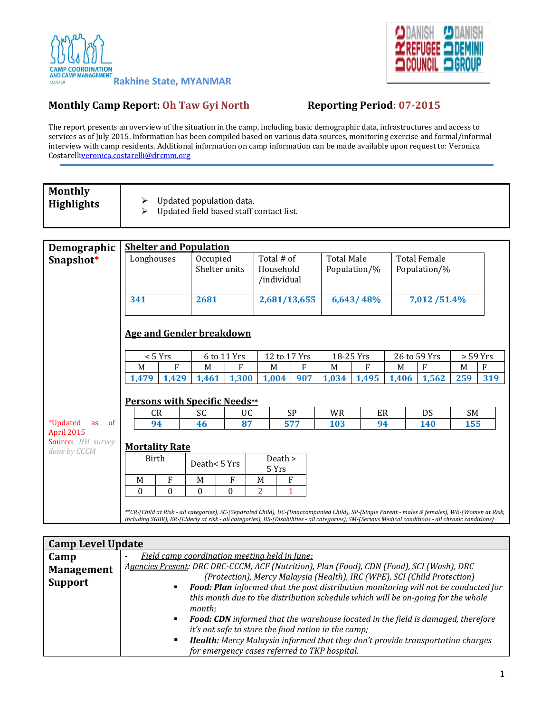



## **Monthly Camp Report: Oh Taw Gyi North Reporting Period: 07-2015**

The report presents an overview of the situation in the camp, including basic demographic data, infrastructures and access to services as of July 2015. Information has been compiled based on various data sources, monitoring exercise and formal/informal interview with camp residents. Additional information on camp information can be made available upon request to: Veronica Costarell[iveronica.costarelli@drcmm.org](mailto:veronica.costarelli@drcmm.org)

| <b>Monthly</b>    |  |
|-------------------|--|
| <b>Highlights</b> |  |

 $\triangleright$  Updated population data.

 $\triangleright$  Updated field based staff contact list.

| Demographic                                     | <b>Shelter and Population</b>                                                                                                                                                                                                                                                                           |          |              |             |                                        |                    |                                   |       |           |                                     |              |     |            |
|-------------------------------------------------|---------------------------------------------------------------------------------------------------------------------------------------------------------------------------------------------------------------------------------------------------------------------------------------------------------|----------|--------------|-------------|----------------------------------------|--------------------|-----------------------------------|-------|-----------|-------------------------------------|--------------|-----|------------|
| Snapshot*                                       | Longhouses<br>Occupied<br>Shelter units                                                                                                                                                                                                                                                                 |          |              |             | Total # of<br>Household<br>/individual |                    | <b>Total Male</b><br>Population/% |       |           | <b>Total Female</b><br>Population/% |              |     |            |
|                                                 | 341<br>2681                                                                                                                                                                                                                                                                                             |          |              |             | 2,681/13,655                           |                    | 6,643/48%                         |       |           | 7,012 / 51.4%                       |              |     |            |
|                                                 | <b>Age and Gender breakdown</b>                                                                                                                                                                                                                                                                         |          |              |             |                                        |                    |                                   |       |           |                                     |              |     |            |
|                                                 | < 5 Yrs                                                                                                                                                                                                                                                                                                 |          |              | 6 to 11 Yrs |                                        | 12 to 17 Yrs       |                                   |       | 18-25 Yrs |                                     | 26 to 59 Yrs |     | $> 59$ Yrs |
|                                                 | M                                                                                                                                                                                                                                                                                                       | F        | M            | F           |                                        | M                  | F                                 | M     | F         | M                                   | F            | M   | F          |
|                                                 | 1,479                                                                                                                                                                                                                                                                                                   | 1,429    | 1,461        | 1,300       |                                        | 1,004              | 907                               | 1,034 | 1,495     | 1,406                               | 1,562        | 259 | 319        |
|                                                 | <b>Persons with Specific Needs**</b>                                                                                                                                                                                                                                                                    |          |              |             |                                        |                    |                                   |       |           |                                     |              |     |            |
|                                                 | CR                                                                                                                                                                                                                                                                                                      |          | SC           | UC.         |                                        |                    | <b>SP</b>                         | WR    | ER        |                                     | DS           | SM  |            |
| <i>*</i> Updated<br><sub>of</sub><br>as         | 94                                                                                                                                                                                                                                                                                                      |          | 46           | 87          |                                        |                    | 577                               | 103   | 94        |                                     | 140          | 155 |            |
| April 2015<br>Source: HH survey<br>done by CCCM | <b>Mortality Rate</b>                                                                                                                                                                                                                                                                                   |          |              |             |                                        |                    |                                   |       |           |                                     |              |     |            |
|                                                 | Birth                                                                                                                                                                                                                                                                                                   |          | Death<5 Yrs  |             |                                        | Death $>$<br>5 Yrs |                                   |       |           |                                     |              |     |            |
|                                                 | M                                                                                                                                                                                                                                                                                                       | F        | M            | F           | M                                      | F                  |                                   |       |           |                                     |              |     |            |
|                                                 | $\theta$                                                                                                                                                                                                                                                                                                | $\Omega$ | $\mathbf{0}$ | $\Omega$    | 2                                      |                    |                                   |       |           |                                     |              |     |            |
|                                                 | **CR-(Child at Risk - all categories), SC-(Separated Child), UC-(Unaccompanied Child), SP-(Single Parent - males & females), WR-(Women at Risk,<br>including SGBV), ER-(Elderly at risk - all categories), DS-(Disabilities - all categories), SM-(Serious Medical conditions - all chronic conditions) |          |              |             |                                        |                    |                                   |       |           |                                     |              |     |            |

| <b>Camp Level Update</b> |                                                                                                                                                                                                                                                                                   |  |  |  |  |  |
|--------------------------|-----------------------------------------------------------------------------------------------------------------------------------------------------------------------------------------------------------------------------------------------------------------------------------|--|--|--|--|--|
| Camp                     | Field camp coordination meeting held in June:                                                                                                                                                                                                                                     |  |  |  |  |  |
| <b>Management</b>        | Agencies Present: DRC DRC-CCCM, ACF (Nutrition), Plan (Food), CDN (Food), SCI (Wash), DRC                                                                                                                                                                                         |  |  |  |  |  |
| <b>Support</b>           | (Protection), Mercy Malaysia (Health), IRC (WPE), SCI (Child Protection)<br>Food: Plan informed that the post distribution monitoring will not be conducted for<br>this month due to the distribution schedule which will be on-going for the whole<br>month:                     |  |  |  |  |  |
|                          | <b>Food: CDN</b> informed that the warehouse located in the field is damaged, therefore<br>it's not safe to store the food ration in the camp;<br>Health: Mercy Malaysia informed that they don't provide transportation charges<br>for emergency cases referred to TKP hospital. |  |  |  |  |  |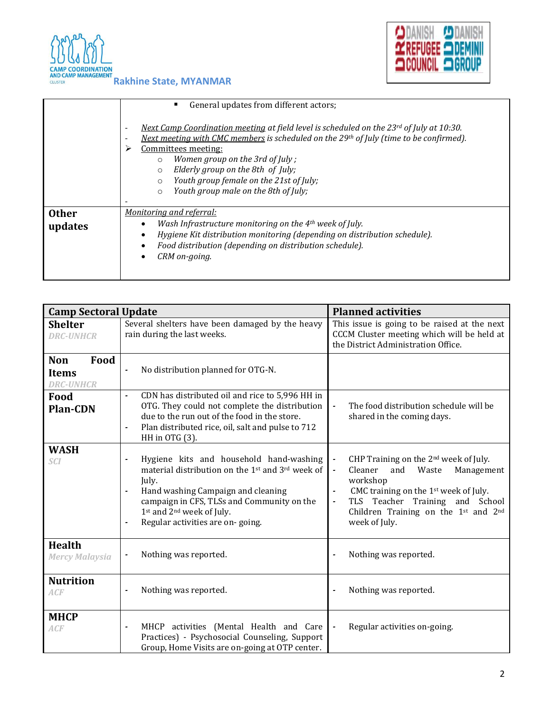



|                         | General updates from different actors;<br>٠                                                                                                                                                                                                                                                                                                                                                                                            |
|-------------------------|----------------------------------------------------------------------------------------------------------------------------------------------------------------------------------------------------------------------------------------------------------------------------------------------------------------------------------------------------------------------------------------------------------------------------------------|
|                         | Next Camp Coordination meeting at field level is scheduled on the 23 <sup>rd</sup> of July at 10:30.<br>٠<br>Next meeting with CMC members is scheduled on the 29th of July (time to be confirmed).<br>Committees meeting:<br>⋗<br>Women group on the 3rd of July;<br>$\circ$<br>Elderly group on the 8th of July;<br>$\circ$<br>Youth group female on the 21st of July;<br>$\circ$<br>Youth group male on the 8th of July;<br>$\circ$ |
| <b>Other</b><br>updates | <u>Monitoring and referral:</u><br>Wash Infrastructure monitoring on the $4th$ week of July.<br>Hygiene Kit distribution monitoring (depending on distribution schedule).<br>Food distribution (depending on distribution schedule).<br>CRM on-going.                                                                                                                                                                                  |

| <b>Camp Sectoral Update</b>                            |                                                                                                                                                                                                                                                                                                                                                                                     | <b>Planned activities</b>                                                                                                                                                                                                                                                       |
|--------------------------------------------------------|-------------------------------------------------------------------------------------------------------------------------------------------------------------------------------------------------------------------------------------------------------------------------------------------------------------------------------------------------------------------------------------|---------------------------------------------------------------------------------------------------------------------------------------------------------------------------------------------------------------------------------------------------------------------------------|
| <b>Shelter</b><br><b>DRC-UNHCR</b>                     | Several shelters have been damaged by the heavy<br>rain during the last weeks.                                                                                                                                                                                                                                                                                                      | This issue is going to be raised at the next<br>CCCM Cluster meeting which will be held at<br>the District Administration Office.                                                                                                                                               |
| Food<br><b>Non</b><br><b>Items</b><br><b>DRC-UNHCR</b> | No distribution planned for OTG-N.<br>$\overline{\phantom{a}}$                                                                                                                                                                                                                                                                                                                      |                                                                                                                                                                                                                                                                                 |
| Food<br><b>Plan-CDN</b>                                | CDN has distributed oil and rice to 5,996 HH in<br>OTG. They could not complete the distribution<br>due to the run out of the food in the store.<br>Plan distributed rice, oil, salt and pulse to 712<br>$\blacksquare$<br>HH in OTG (3).                                                                                                                                           | The food distribution schedule will be<br>shared in the coming days.                                                                                                                                                                                                            |
| <b>WASH</b><br><b>SCI</b>                              | Hygiene kits and household hand-washing<br>$\overline{\phantom{a}}$<br>material distribution on the 1 <sup>st</sup> and 3 <sup>rd</sup> week of<br>July.<br>Hand washing Campaign and cleaning<br>$\blacksquare$<br>campaign in CFS, TLSs and Community on the<br>1 <sup>st</sup> and 2 <sup>nd</sup> week of July.<br>Regular activities are on-going.<br>$\overline{\phantom{a}}$ | CHP Training on the 2 <sup>nd</sup> week of July.<br>Cleaner<br>and<br>Waste<br>Management<br>workshop<br>CMC training on the 1 <sup>st</sup> week of July.<br>TLS Teacher Training and School<br>Children Training on the 1 <sup>st</sup> and 2 <sup>nd</sup><br>week of July. |
| <b>Health</b><br><b>Mercy Malaysia</b>                 | Nothing was reported.<br>$\overline{\phantom{a}}$                                                                                                                                                                                                                                                                                                                                   | Nothing was reported.                                                                                                                                                                                                                                                           |
| <b>Nutrition</b><br>ACF                                | Nothing was reported.<br>$\overline{\phantom{a}}$                                                                                                                                                                                                                                                                                                                                   | Nothing was reported.                                                                                                                                                                                                                                                           |
| <b>MHCP</b><br>ACF                                     | MHCP activities (Mental Health and Care<br>$\blacksquare$<br>Practices) - Psychosocial Counseling, Support<br>Group, Home Visits are on-going at OTP center.                                                                                                                                                                                                                        | Regular activities on-going.                                                                                                                                                                                                                                                    |